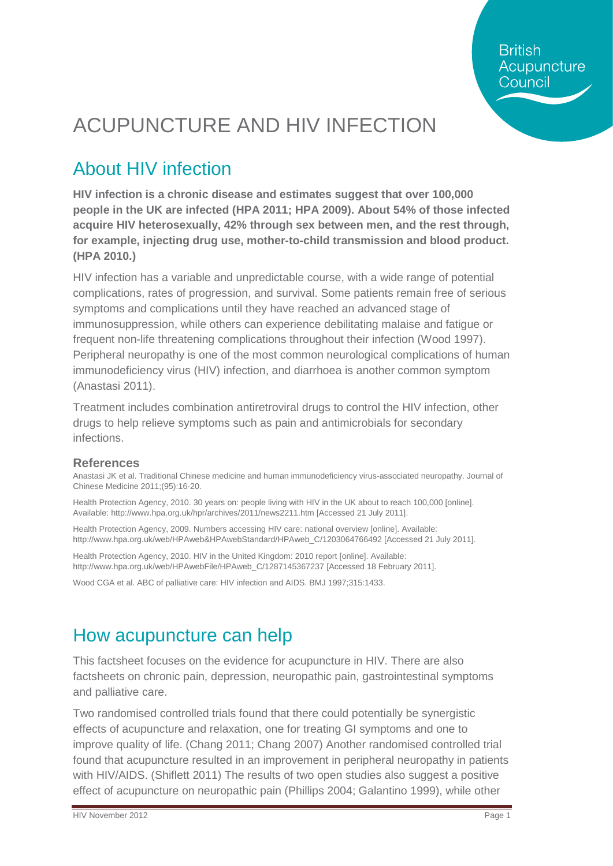**British** Acupuncture Council

# ACUPUNCTURE AND HIV INFECTION

# About HIV infection

**HIV infection is a chronic disease and estimates suggest that over 100,000 people in the UK are infected (HPA 2011; HPA 2009). About 54% of those infected acquire HIV heterosexually, 42% through sex between men, and the rest through, for example, injecting drug use, mother-to-child transmission and blood product. (HPA 2010.)**

HIV infection has a variable and unpredictable course, with a wide range of potential complications, rates of progression, and survival. Some patients remain free of serious symptoms and complications until they have reached an advanced stage of immunosuppression, while others can experience debilitating malaise and fatigue or frequent non-life threatening complications throughout their infection (Wood 1997). Peripheral neuropathy is one of the most common neurological complications of human immunodeficiency virus (HIV) infection, and diarrhoea is another common symptom (Anastasi 2011).

Treatment includes combination antiretroviral drugs to control the HIV infection, other drugs to help relieve symptoms such as pain and antimicrobials for secondary infections.

#### **References**

Anastasi JK et al. Traditional Chinese medicine and human immunodeficiency virus-associated neuropathy. Journal of Chinese Medicine 2011;(95):16-20.

Health Protection Agency, 2010. 30 years on: people living with HIV in the UK about to reach 100,000 [online]. Available:<http://www.hpa.org.uk/hpr/archives/2011/news2211.htm> [Accessed 21 July 2011].

Health Protection Agency, 2009. Numbers accessing HIV care: national overview [online]. Available: [http://www.hpa.org.uk/web/HPAweb&HPAwebStandard/HPAweb\\_C/1203064766492](http://www.hpa.org.uk/web/HPAweb&HPAwebStandard/HPAweb_C/1203064766492) [Accessed 21 July 2011].

Health Protection Agency, 2010. HIV in the United Kingdom: 2010 report [online]. Available: [http://www.hpa.org.uk/web/HPAwebFile/HPAweb\\_C/1287145367237](http://www.hpa.org.uk/web/HPAwebFile/HPAweb_C/1287145367237) [Accessed 18 February 2011].

Wood CGA et al. ABC of palliative care: HIV infection and AIDS. BMJ 1997;315:1433.

## How acupuncture can help

This factsheet focuses on the evidence for acupuncture in HIV. There are also factsheets on chronic pain, depression, neuropathic pain, gastrointestinal symptoms and palliative care.

Two randomised controlled trials found that there could potentially be synergistic effects of acupuncture and relaxation, one for treating GI symptoms and one to improve quality of life. (Chang 2011; Chang 2007) Another randomised controlled trial found that acupuncture resulted in an improvement in peripheral neuropathy in patients with HIV/AIDS. (Shiflett 2011) The results of two open studies also suggest a positive effect of acupuncture on neuropathic pain (Phillips 2004; Galantino 1999), while other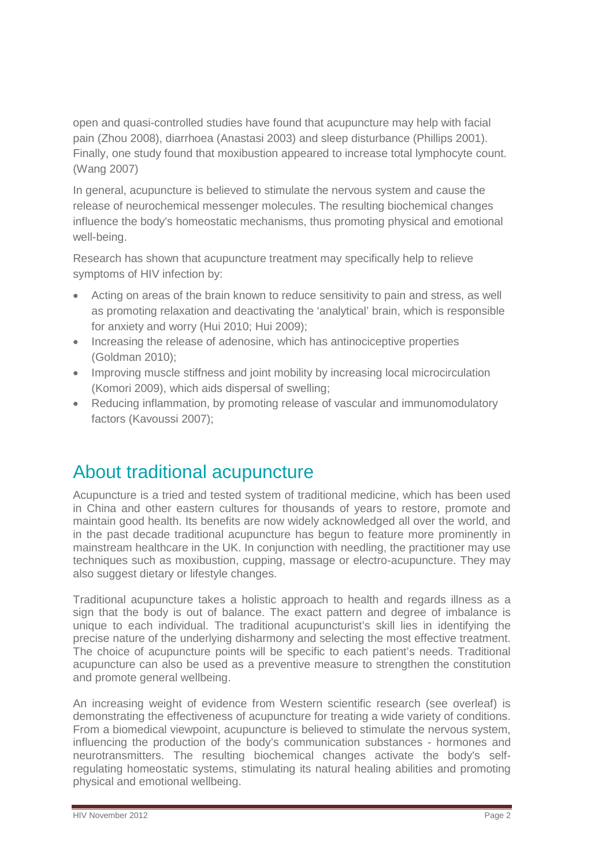open and quasi-controlled studies have found that acupuncture may help with facial pain (Zhou 2008), diarrhoea (Anastasi 2003) and sleep disturbance (Phillips 2001). Finally, one study found that moxibustion appeared to increase total lymphocyte count. (Wang 2007)

In general, acupuncture is believed to stimulate the nervous system and cause the release of neurochemical messenger molecules. The resulting biochemical changes influence the body's homeostatic mechanisms, thus promoting physical and emotional well-being.

Research has shown that acupuncture treatment may specifically help to relieve symptoms of HIV infection by:

- Acting on areas of the brain known to reduce sensitivity to pain and stress, as well as promoting relaxation and deactivating the 'analytical' brain, which is responsible for anxiety and worry (Hui 2010; Hui 2009);
- Increasing the release of adenosine, which has antinociceptive properties (Goldman 2010);
- Improving muscle stiffness and joint mobility by increasing local microcirculation (Komori 2009), which aids dispersal of swelling;
- Reducing inflammation, by promoting release of vascular and immunomodulatory factors (Kavoussi 2007);

### About traditional acupuncture

Acupuncture is a tried and tested system of traditional medicine, which has been used in China and other eastern cultures for thousands of years to restore, promote and maintain good health. Its benefits are now widely acknowledged all over the world, and in the past decade traditional acupuncture has begun to feature more prominently in mainstream healthcare in the UK. In conjunction with needling, the practitioner may use techniques such as moxibustion, cupping, massage or electro-acupuncture. They may also suggest dietary or lifestyle changes.

Traditional acupuncture takes a holistic approach to health and regards illness as a sign that the body is out of balance. The exact pattern and degree of imbalance is unique to each individual. The traditional acupuncturist's skill lies in identifying the precise nature of the underlying disharmony and selecting the most effective treatment. The choice of acupuncture points will be specific to each patient's needs. Traditional acupuncture can also be used as a preventive measure to strengthen the constitution and promote general wellbeing.

An increasing weight of evidence from Western scientific research (see overleaf) is demonstrating the effectiveness of acupuncture for treating a wide variety of conditions. From a biomedical viewpoint, acupuncture is believed to stimulate the nervous system, influencing the production of the body's communication substances - hormones and neurotransmitters. The resulting biochemical changes activate the body's selfregulating homeostatic systems, stimulating its natural healing abilities and promoting physical and emotional wellbeing.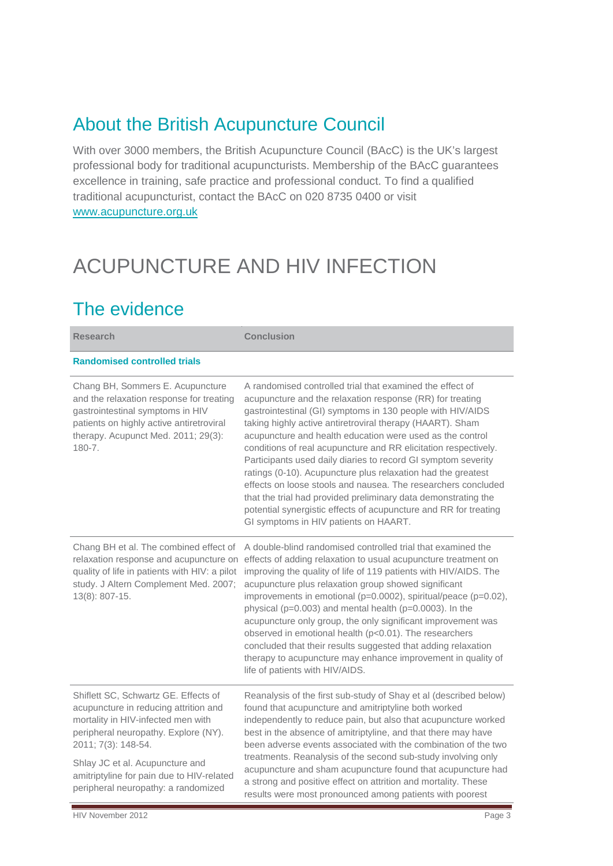### About the British Acupuncture Council

With over 3000 members, the British Acupuncture Council (BAcC) is the UK's largest professional body for traditional acupuncturists. Membership of the BAcC guarantees excellence in training, safe practice and professional conduct. To find a qualified traditional acupuncturist, contact the BAcC on 020 8735 0400 or visit [www.acupuncture.org.uk](http://www.acupuncture.org.uk/)

# ACUPUNCTURE AND HIV INFECTION

## The evidence

| <b>Research</b>                                                                                                                                                                                                                                                                                           | <b>Conclusion</b>                                                                                                                                                                                                                                                                                                                                                                                                                                                                                                                                                                                                                                                                                                                                                  |
|-----------------------------------------------------------------------------------------------------------------------------------------------------------------------------------------------------------------------------------------------------------------------------------------------------------|--------------------------------------------------------------------------------------------------------------------------------------------------------------------------------------------------------------------------------------------------------------------------------------------------------------------------------------------------------------------------------------------------------------------------------------------------------------------------------------------------------------------------------------------------------------------------------------------------------------------------------------------------------------------------------------------------------------------------------------------------------------------|
| <b>Randomised controlled trials</b>                                                                                                                                                                                                                                                                       |                                                                                                                                                                                                                                                                                                                                                                                                                                                                                                                                                                                                                                                                                                                                                                    |
| Chang BH, Sommers E. Acupuncture<br>and the relaxation response for treating<br>gastrointestinal symptoms in HIV<br>patients on highly active antiretroviral<br>therapy. Acupunct Med. 2011; 29(3):<br>$180 - 7.$                                                                                         | A randomised controlled trial that examined the effect of<br>acupuncture and the relaxation response (RR) for treating<br>gastrointestinal (GI) symptoms in 130 people with HIV/AIDS<br>taking highly active antiretroviral therapy (HAART). Sham<br>acupuncture and health education were used as the control<br>conditions of real acupuncture and RR elicitation respectively.<br>Participants used daily diaries to record GI symptom severity<br>ratings (0-10). Acupuncture plus relaxation had the greatest<br>effects on loose stools and nausea. The researchers concluded<br>that the trial had provided preliminary data demonstrating the<br>potential synergistic effects of acupuncture and RR for treating<br>GI symptoms in HIV patients on HAART. |
| Chang BH et al. The combined effect of<br>relaxation response and acupuncture on<br>quality of life in patients with HIV: a pilot<br>study. J Altern Complement Med. 2007;<br>13(8): 807-15.                                                                                                              | A double-blind randomised controlled trial that examined the<br>effects of adding relaxation to usual acupuncture treatment on<br>improving the quality of life of 119 patients with HIV/AIDS. The<br>acupuncture plus relaxation group showed significant<br>improvements in emotional (p=0.0002), spiritual/peace (p=0.02),<br>physical (p=0.003) and mental health (p=0.0003). In the<br>acupuncture only group, the only significant improvement was<br>observed in emotional health (p<0.01). The researchers<br>concluded that their results suggested that adding relaxation<br>therapy to acupuncture may enhance improvement in quality of<br>life of patients with HIV/AIDS.                                                                             |
| Shiflett SC, Schwartz GE. Effects of<br>acupuncture in reducing attrition and<br>mortality in HIV-infected men with<br>peripheral neuropathy. Explore (NY).<br>2011; 7(3): 148-54.<br>Shlay JC et al. Acupuncture and<br>amitriptyline for pain due to HIV-related<br>peripheral neuropathy: a randomized | Reanalysis of the first sub-study of Shay et al (described below)<br>found that acupuncture and amitriptyline both worked<br>independently to reduce pain, but also that acupuncture worked<br>best in the absence of amitriptyline, and that there may have<br>been adverse events associated with the combination of the two<br>treatments. Reanalysis of the second sub-study involving only<br>acupuncture and sham acupuncture found that acupuncture had<br>a strong and positive effect on attrition and mortality. These<br>results were most pronounced among patients with poorest                                                                                                                                                                       |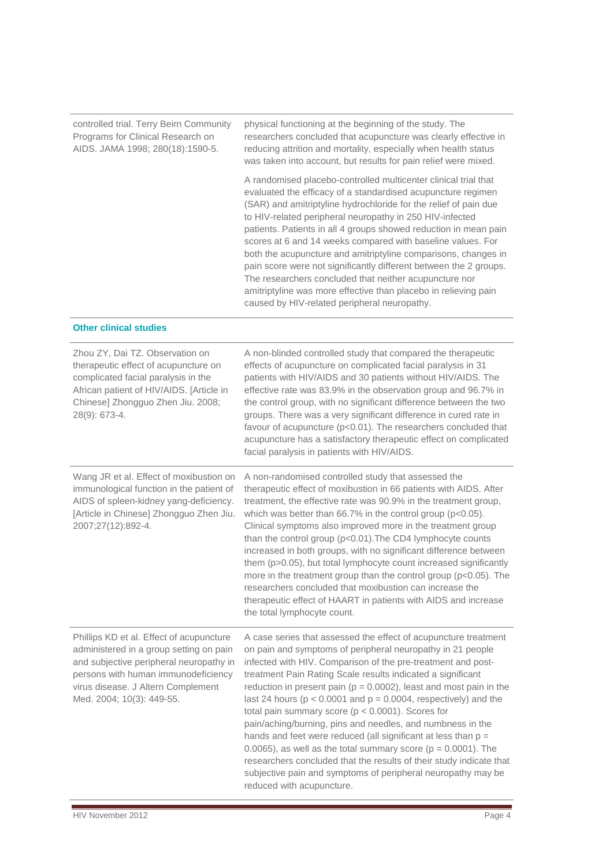| controlled trial. Terry Beirn Community<br>Programs for Clinical Research on<br>AIDS. JAMA 1998; 280(18):1590-5.                                                                                                                         | physical functioning at the beginning of the study. The<br>researchers concluded that acupuncture was clearly effective in<br>reducing attrition and mortality, especially when health status<br>was taken into account, but results for pain relief were mixed.                                                                                                                                                                                                                                                                                                                                                                                                                                                                                                                                                                                   |
|------------------------------------------------------------------------------------------------------------------------------------------------------------------------------------------------------------------------------------------|----------------------------------------------------------------------------------------------------------------------------------------------------------------------------------------------------------------------------------------------------------------------------------------------------------------------------------------------------------------------------------------------------------------------------------------------------------------------------------------------------------------------------------------------------------------------------------------------------------------------------------------------------------------------------------------------------------------------------------------------------------------------------------------------------------------------------------------------------|
|                                                                                                                                                                                                                                          | A randomised placebo-controlled multicenter clinical trial that<br>evaluated the efficacy of a standardised acupuncture regimen<br>(SAR) and amitriptyline hydrochloride for the relief of pain due<br>to HIV-related peripheral neuropathy in 250 HIV-infected<br>patients. Patients in all 4 groups showed reduction in mean pain<br>scores at 6 and 14 weeks compared with baseline values. For<br>both the acupuncture and amitriptyline comparisons, changes in<br>pain score were not significantly different between the 2 groups.<br>The researchers concluded that neither acupuncture nor<br>amitriptyline was more effective than placebo in relieving pain<br>caused by HIV-related peripheral neuropathy.                                                                                                                             |
| <b>Other clinical studies</b>                                                                                                                                                                                                            |                                                                                                                                                                                                                                                                                                                                                                                                                                                                                                                                                                                                                                                                                                                                                                                                                                                    |
| Zhou ZY, Dai TZ. Observation on<br>therapeutic effect of acupuncture on<br>complicated facial paralysis in the<br>African patient of HIV/AIDS. [Article in<br>Chinese] Zhongguo Zhen Jiu. 2008;<br>28(9): 673-4.                         | A non-blinded controlled study that compared the therapeutic<br>effects of acupuncture on complicated facial paralysis in 31<br>patients with HIV/AIDS and 30 patients without HIV/AIDS. The<br>effective rate was 83.9% in the observation group and 96.7% in<br>the control group, with no significant difference between the two<br>groups. There was a very significant difference in cured rate in<br>favour of acupuncture (p<0.01). The researchers concluded that<br>acupuncture has a satisfactory therapeutic effect on complicated<br>facial paralysis in patients with HIV/AIDS.                                                                                                                                                                                                                                                       |
| Wang JR et al. Effect of moxibustion on<br>immunological function in the patient of<br>AIDS of spleen-kidney yang-deficiency.<br>[Article in Chinese] Zhongguo Zhen Jiu.<br>2007;27(12):892-4.                                           | A non-randomised controlled study that assessed the<br>therapeutic effect of moxibustion in 66 patients with AIDS. After<br>treatment, the effective rate was 90.9% in the treatment group,<br>which was better than $66.7\%$ in the control group ( $p<0.05$ ).<br>Clinical symptoms also improved more in the treatment group<br>than the control group (p<0.01). The CD4 lymphocyte counts<br>increased in both groups, with no significant difference between<br>them (p>0.05), but total lymphocyte count increased significantly<br>more in the treatment group than the control group (p<0.05). The<br>researchers concluded that moxibustion can increase the<br>therapeutic effect of HAART in patients with AIDS and increase<br>the total lymphocyte count.                                                                             |
| Phillips KD et al. Effect of acupuncture<br>administered in a group setting on pain<br>and subjective peripheral neuropathy in<br>persons with human immunodeficiency<br>virus disease. J Altern Complement<br>Med. 2004; 10(3): 449-55. | A case series that assessed the effect of acupuncture treatment<br>on pain and symptoms of peripheral neuropathy in 21 people<br>infected with HIV. Comparison of the pre-treatment and post-<br>treatment Pain Rating Scale results indicated a significant<br>reduction in present pain ( $p = 0.0002$ ), least and most pain in the<br>last 24 hours ( $p < 0.0001$ and $p = 0.0004$ , respectively) and the<br>total pain summary score ( $p < 0.0001$ ). Scores for<br>pain/aching/burning, pins and needles, and numbness in the<br>hands and feet were reduced (all significant at less than $p =$<br>0.0065), as well as the total summary score ( $p = 0.0001$ ). The<br>researchers concluded that the results of their study indicate that<br>subjective pain and symptoms of peripheral neuropathy may be<br>reduced with acupuncture. |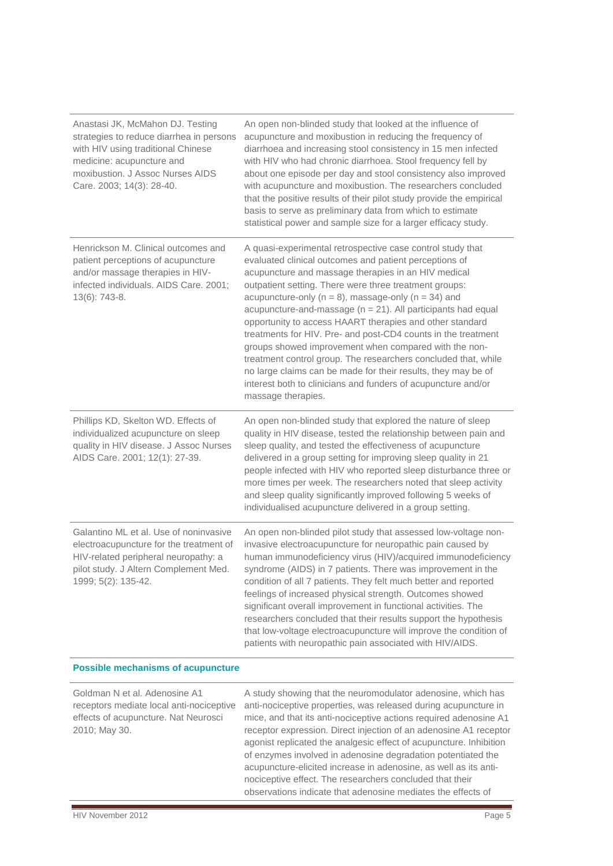| Anastasi JK, McMahon DJ. Testing<br>strategies to reduce diarrhea in persons<br>with HIV using traditional Chinese<br>medicine: acupuncture and<br>moxibustion. J Assoc Nurses AIDS<br>Care. 2003; 14(3): 28-40. | An open non-blinded study that looked at the influence of<br>acupuncture and moxibustion in reducing the frequency of<br>diarrhoea and increasing stool consistency in 15 men infected<br>with HIV who had chronic diarrhoea. Stool frequency fell by<br>about one episode per day and stool consistency also improved<br>with acupuncture and moxibustion. The researchers concluded<br>that the positive results of their pilot study provide the empirical<br>basis to serve as preliminary data from which to estimate<br>statistical power and sample size for a larger efficacy study.                                                                                                                                                                                             |  |
|------------------------------------------------------------------------------------------------------------------------------------------------------------------------------------------------------------------|------------------------------------------------------------------------------------------------------------------------------------------------------------------------------------------------------------------------------------------------------------------------------------------------------------------------------------------------------------------------------------------------------------------------------------------------------------------------------------------------------------------------------------------------------------------------------------------------------------------------------------------------------------------------------------------------------------------------------------------------------------------------------------------|--|
| Henrickson M. Clinical outcomes and<br>patient perceptions of acupuncture<br>and/or massage therapies in HIV-<br>infected individuals. AIDS Care. 2001;<br>13(6): 743-8.                                         | A quasi-experimental retrospective case control study that<br>evaluated clinical outcomes and patient perceptions of<br>acupuncture and massage therapies in an HIV medical<br>outpatient setting. There were three treatment groups:<br>acupuncture-only ( $n = 8$ ), massage-only ( $n = 34$ ) and<br>acupuncture-and-massage ( $n = 21$ ). All participants had equal<br>opportunity to access HAART therapies and other standard<br>treatments for HIV. Pre- and post-CD4 counts in the treatment<br>groups showed improvement when compared with the non-<br>treatment control group. The researchers concluded that, while<br>no large claims can be made for their results, they may be of<br>interest both to clinicians and funders of acupuncture and/or<br>massage therapies. |  |
| Phillips KD, Skelton WD. Effects of<br>individualized acupuncture on sleep<br>quality in HIV disease. J Assoc Nurses<br>AIDS Care. 2001; 12(1): 27-39.                                                           | An open non-blinded study that explored the nature of sleep<br>quality in HIV disease, tested the relationship between pain and<br>sleep quality, and tested the effectiveness of acupuncture<br>delivered in a group setting for improving sleep quality in 21<br>people infected with HIV who reported sleep disturbance three or<br>more times per week. The researchers noted that sleep activity<br>and sleep quality significantly improved following 5 weeks of<br>individualised acupuncture delivered in a group setting.                                                                                                                                                                                                                                                       |  |
| Galantino ML et al. Use of noninvasive<br>electroacupuncture for the treatment of<br>HIV-related peripheral neuropathy: a<br>pilot study. J Altern Complement Med.<br>1999; 5(2): 135-42.                        | An open non-blinded pilot study that assessed low-voltage non-<br>invasive electroacupuncture for neuropathic pain caused by<br>human immunodeficiency virus (HIV)/acquired immunodeficiency<br>syndrome (AIDS) in 7 patients. There was improvement in the<br>condition of all 7 patients. They felt much better and reported<br>feelings of increased physical strength. Outcomes showed<br>significant overall improvement in functional activities. The<br>researchers concluded that their results support the hypothesis<br>that low-voltage electroacupuncture will improve the condition of<br>patients with neuropathic pain associated with HIV/AIDS.                                                                                                                          |  |
| <b>Possible mechanisms of acupuncture</b>                                                                                                                                                                        |                                                                                                                                                                                                                                                                                                                                                                                                                                                                                                                                                                                                                                                                                                                                                                                          |  |

| Goldman N et al. Adenosine A1<br>receptors mediate local anti-nociceptive<br>effects of acupuncture. Nat Neurosci<br>2010; May 30. | A study showing that the neuromodulator adenosine, which has<br>anti-nociceptive properties, was released during acupuncture in<br>mice, and that its anti-nociceptive actions required adenosine A1<br>receptor expression. Direct injection of an adenosine A1 receptor<br>agonist replicated the analgesic effect of acupuncture. Inhibition<br>of enzymes involved in adenosine degradation potentiated the<br>acupuncture-elicited increase in adenosine, as well as its anti-<br>nociceptive effect. The researchers concluded that their<br>observations indicate that adenosine mediates the effects of |
|------------------------------------------------------------------------------------------------------------------------------------|-----------------------------------------------------------------------------------------------------------------------------------------------------------------------------------------------------------------------------------------------------------------------------------------------------------------------------------------------------------------------------------------------------------------------------------------------------------------------------------------------------------------------------------------------------------------------------------------------------------------|
|------------------------------------------------------------------------------------------------------------------------------------|-----------------------------------------------------------------------------------------------------------------------------------------------------------------------------------------------------------------------------------------------------------------------------------------------------------------------------------------------------------------------------------------------------------------------------------------------------------------------------------------------------------------------------------------------------------------------------------------------------------------|